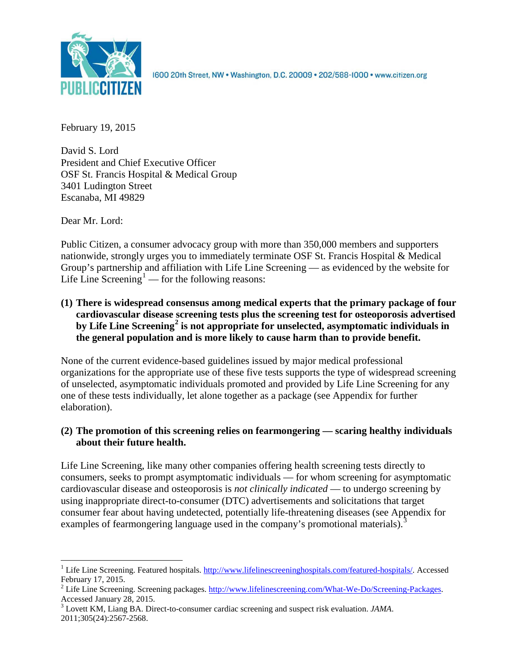

1600 20th Street, NW . Washington, D.C. 20009 . 202/588-1000 . www.citizen.org

February 19, 2015

David S. Lord President and Chief Executive Officer OSF St. Francis Hospital & Medical Group 3401 Ludington Street Escanaba, MI 49829

Dear Mr. Lord:

Public Citizen, a consumer advocacy group with more than 350,000 members and supporters nationwide, strongly urges you to immediately terminate OSF St. Francis Hospital & Medical Group's partnership and affiliation with Life Line Screening — as evidenced by the website for Life Line Screening<sup>[1](#page-0-0)</sup> — for the following reasons:

**(1) There is widespread consensus among medical experts that the primary package of four cardiovascular disease screening tests plus the screening test for osteoporosis advertised by Life Line Screening[2](#page-0-1) is not appropriate for unselected, asymptomatic individuals in the general population and is more likely to cause harm than to provide benefit.**

None of the current evidence-based guidelines issued by major medical professional organizations for the appropriate use of these five tests supports the type of widespread screening of unselected, asymptomatic individuals promoted and provided by Life Line Screening for any one of these tests individually, let alone together as a package (see Appendix for further elaboration).

# **(2) The promotion of this screening relies on fearmongering — scaring healthy individuals about their future health.**

Life Line Screening, like many other companies offering health screening tests directly to consumers, seeks to prompt asymptomatic individuals — for whom screening for asymptomatic cardiovascular disease and osteoporosis is *not clinically indicated* — to undergo screening by using inappropriate direct-to-consumer (DTC) advertisements and solicitations that target consumer fear about having undetected, potentially life-threatening diseases (see Appendix for examples of fearmongering language used in the company's promotional materials).<sup>[3](#page-0-2)</sup>

<span id="page-0-0"></span><sup>&</sup>lt;sup>1</sup> Life Line Screening. Featured hospitals. [http://www.lifelinescreeninghospitals.com/featured-hospitals/.](http://www.lifelinescreeninghospitals.com/featured-hospitals/) Accessed

<span id="page-0-1"></span>February 17, 2015.<br><sup>2</sup> Life Line Screening. Screening packages. [http://www.lifelinescreening.com/What-We-Do/Screening-Packages.](http://www.lifelinescreening.com/What-We-Do/Screening-Packages)<br>Accessed January 28, 2015.

<span id="page-0-2"></span><sup>&</sup>lt;sup>3</sup> Lovett KM, Liang BA. Direct-to-consumer cardiac screening and suspect risk evaluation. *JAMA*. 2011;305(24):2567-2568.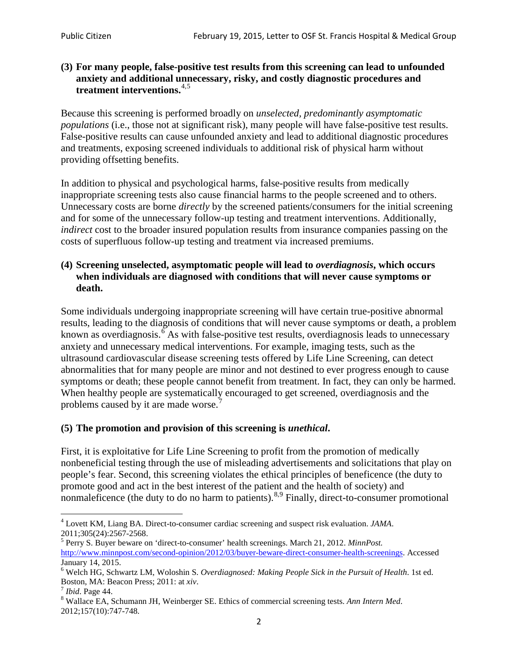### **(3) For many people, false-positive test results from this screening can lead to unfounded anxiety and additional unnecessary, risky, and costly diagnostic procedures and treatment interventions.**[4](#page-1-0),[5](#page-1-1)

Because this screening is performed broadly on *unselected, predominantly asymptomatic populations* (i.e., those not at significant risk), many people will have false**-**positive test results. False-positive results can cause unfounded anxiety and lead to additional diagnostic procedures and treatments, exposing screened individuals to additional risk of physical harm without providing offsetting benefits.

In addition to physical and psychological harms, false-positive results from medically inappropriate screening tests also cause financial harms to the people screened and to others. Unnecessary costs are borne *directly* by the screened patients/consumers for the initial screening and for some of the unnecessary follow-up testing and treatment interventions. Additionally, *indirect* cost to the broader insured population results from insurance companies passing on the costs of superfluous follow-up testing and treatment via increased premiums.

#### **(4) Screening unselected, asymptomatic people will lead to** *overdiagnosis***, which occurs when individuals are diagnosed with conditions that will never cause symptoms or death.**

Some individuals undergoing inappropriate screening will have certain true-positive abnormal results, leading to the diagnosis of conditions that will never cause symptoms or death, a problem known as overdiagnosis.<sup>[6](#page-1-2)</sup> As with false-positive test results, overdiagnosis leads to unnecessary anxiety and unnecessary medical interventions. For example, imaging tests, such as the ultrasound cardiovascular disease screening tests offered by Life Line Screening, can detect abnormalities that for many people are minor and not destined to ever progress enough to cause symptoms or death; these people cannot benefit from treatment. In fact, they can only be harmed. When healthy people are systematically encouraged to get screened, overdiagnosis and the problems caused by it are made worse.<sup>[7](#page-1-3)</sup>

# **(5) The promotion and provision of this screening is** *unethical***.**

First, it is exploitative for Life Line Screening to profit from the promotion of medically nonbeneficial testing through the use of misleading advertisements and solicitations that play on people's fear. Second, this screening violates the ethical principles of beneficence (the duty to promote good and act in the best interest of the patient and the health of society) and nonmaleficence (the duty to do no harm to patients).<sup>[8](#page-1-4),[9](#page-1-5)</sup> Finally, direct-to-consumer promotional

<span id="page-1-4"></span>2012;157(10):747-748.

<span id="page-1-5"></span><span id="page-1-0"></span><sup>4</sup> Lovett KM, Liang BA. Direct-to-consumer cardiac screening and suspect risk evaluation. *JAMA*.

<span id="page-1-1"></span><sup>2011;305(24):2567-2568.</sup> <sup>5</sup> Perry S. Buyer beware on 'direct-to-consumer' health screenings. March 21, 2012. *MinnPost.*  [http://www.minnpost.com/second-opinion/2012/03/buyer-beware-direct-consumer-health-screenings.](http://www.minnpost.com/second-opinion/2012/03/buyer-beware-direct-consumer-health-screenings) Accessed January 14, 2015.

<span id="page-1-2"></span><sup>6</sup> Welch HG, Schwartz LM, Woloshin S. *Overdiagnosed: Making People Sick in the Pursuit of Health*. 1st ed. Boston, MA: Beacon Press; 2011: at *xiv*.<br><sup>7</sup> *Ibid*. Page 44.<br><sup>8</sup> Wallace EA, Schumann JH, Weinberger SE. Ethics of commercial screening tests. *Ann Intern Med*.

<span id="page-1-3"></span>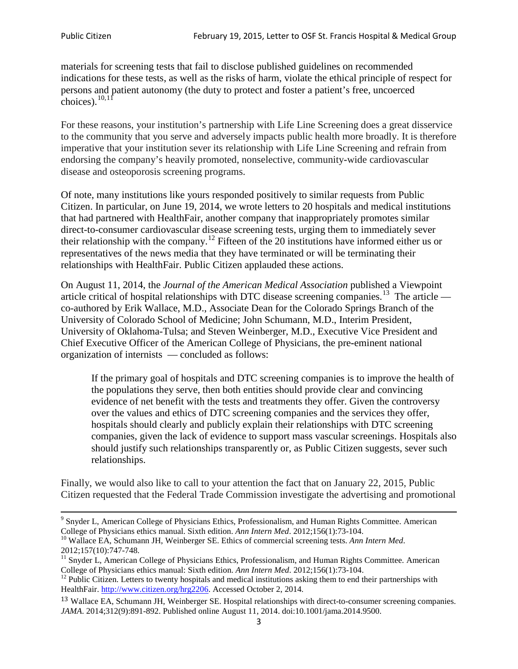materials for screening tests that fail to disclose published guidelines on recommended indications for these tests, as well as the risks of harm, violate the ethical principle of respect for persons and patient autonomy (the duty to protect and foster a patient's free, uncoerced choices). $\frac{10,11}{10,11}$  $\frac{10,11}{10,11}$  $\frac{10,11}{10,11}$  $\frac{10,11}{10,11}$ 

For these reasons, your institution's partnership with Life Line Screening does a great disservice to the community that you serve and adversely impacts public health more broadly. It is therefore imperative that your institution sever its relationship with Life Line Screening and refrain from endorsing the company's heavily promoted, nonselective, community**-**wide cardiovascular disease and osteoporosis screening programs.

Of note, many institutions like yours responded positively to similar requests from Public Citizen. In particular, on June 19, 2014, we wrote letters to 20 hospitals and medical institutions that had partnered with HealthFair, another company that inappropriately promotes similar direct-to-consumer cardiovascular disease screening tests, urging them to immediately sever their relationship with the company. [12](#page-2-2) Fifteen of the 20 institutions have informed either us or representatives of the news media that they have terminated or will be terminating their relationships with HealthFair. Public Citizen applauded these actions.

On August 11, 2014, the *Journal of the American Medical Association* published a Viewpoint article critical of hospital relationships with DTC disease screening companies.<sup>13</sup> The article co-authored by Erik Wallace, M.D., Associate Dean for the Colorado Springs Branch of the University of Colorado School of Medicine; John Schumann, M.D., Interim President, University of Oklahoma-Tulsa; and Steven Weinberger, M.D., Executive Vice President and Chief Executive Officer of the American College of Physicians, the pre**-**eminent national organization of internists — concluded as follows:

If the primary goal of hospitals and DTC screening companies is to improve the health of the populations they serve, then both entities should provide clear and convincing evidence of net benefit with the tests and treatments they offer. Given the controversy over the values and ethics of DTC screening companies and the services they offer, hospitals should clearly and publicly explain their relationships with DTC screening companies, given the lack of evidence to support mass vascular screenings. Hospitals also should justify such relationships transparently or, as Public Citizen suggests, sever such relationships.

Finally, we would also like to call to your attention the fact that on January 22, 2015, Public Citizen requested that the Federal Trade Commission investigate the advertising and promotional

<sup>&</sup>lt;sup>9</sup> Snyder L, American College of Physicians Ethics, Professionalism, and Human Rights Committee. American College of Physicians ethics manual. Sixth edition. Ann Intern Med. 2012;156(1):73-104.

<span id="page-2-0"></span><sup>&</sup>lt;sup>10</sup> Wallace EA, Schumann JH, Weinberger SE. Ethics of commercial screening tests. *Ann Intern Med*. 2012;157(10):747-748.

<span id="page-2-1"></span> $11$  Snyder L, American College of Physicians Ethics, Professionalism, and Human Rights Committee. American College of Physicians ethics manual: Sixth edition. *Ann Intern Med*. 2012;156(1):73-104.<br><sup>12</sup> Public Citizen. Letters to twenty hospitals and medical institutions asking them to end their partnerships with

<span id="page-2-2"></span>HealthFair. [http://www.citizen.org/hrg2206.](http://www.citizen.org/hrg2206) Accessed October 2, 2014.

<span id="page-2-3"></span><sup>13</sup> Wallace EA, Schumann JH, Weinberger SE. Hospital relationships with direct-to-consumer screening companies. *JAMA*. 2014;312(9):891-892. Published online August 11, 2014. doi:10.1001/jama.2014.9500.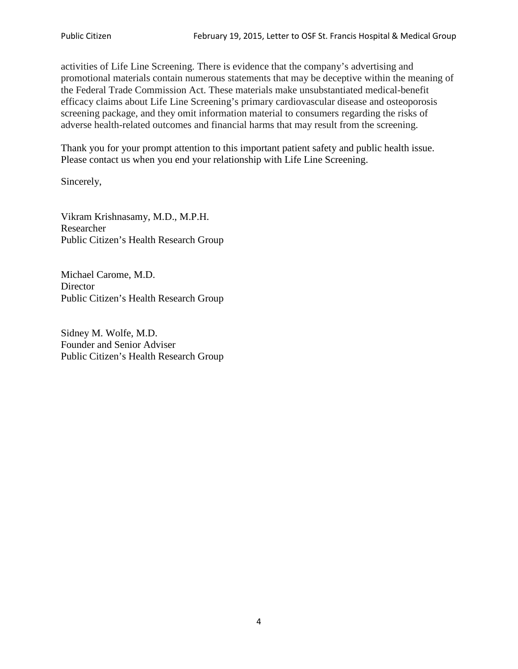activities of Life Line Screening. There is evidence that the company's advertising and promotional materials contain numerous statements that may be deceptive within the meaning of the Federal Trade Commission Act. These materials make unsubstantiated medical-benefit efficacy claims about Life Line Screening's primary cardiovascular disease and osteoporosis screening package, and they omit information material to consumers regarding the risks of adverse health-related outcomes and financial harms that may result from the screening.

Thank you for your prompt attention to this important patient safety and public health issue. Please contact us when you end your relationship with Life Line Screening.

Sincerely,

Vikram Krishnasamy, M.D., M.P.H. Researcher Public Citizen's Health Research Group

Michael Carome, M.D. **Director** Public Citizen's Health Research Group

Sidney M. Wolfe, M.D. Founder and Senior Adviser Public Citizen's Health Research Group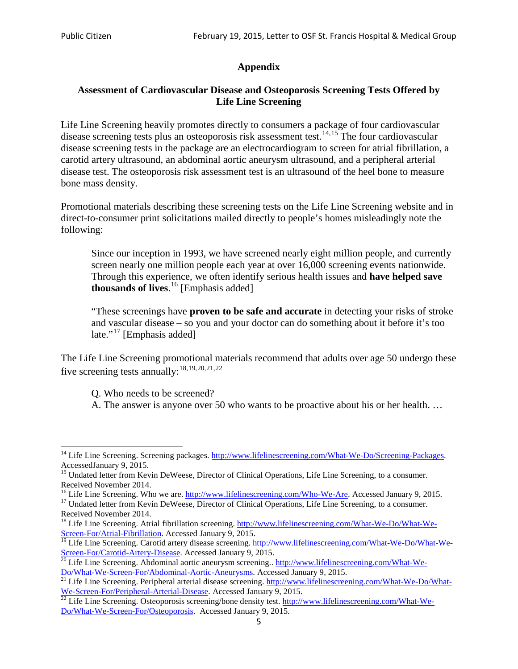# **Appendix**

### **Assessment of Cardiovascular Disease and Osteoporosis Screening Tests Offered by Life Line Screening**

Life Line Screening heavily promotes directly to consumers a package of four cardiovascular disease screening tests plus an osteoporosis risk assessment test.<sup>[14](#page-4-0),[15](#page-4-1)</sup> The four cardiovascular disease screening tests in the package are an electrocardiogram to screen for atrial fibrillation, a carotid artery ultrasound, an abdominal aortic aneurysm ultrasound, and a peripheral arterial disease test. The osteoporosis risk assessment test is an ultrasound of the heel bone to measure bone mass density.

Promotional materials describing these screening tests on the Life Line Screening website and in direct-to-consumer print solicitations mailed directly to people's homes misleadingly note the following:

Since our inception in 1993, we have screened nearly eight million people, and currently screen nearly one million people each year at over 16,000 screening events nationwide. Through this experience, we often identify serious health issues and **have helped save thousands of lives**. [16](#page-4-2) [Emphasis added]

"These screenings have **proven to be safe and accurate** in detecting your risks of stroke and vascular disease – so you and your doctor can do something about it before it's too late."<sup>[17](#page-4-3)</sup> [Emphasis added]

The Life Line Screening promotional materials recommend that adults over age 50 undergo these five screening tests annually:<sup>[18](#page-4-4),[19,](#page-4-5)[20,](#page-4-6)[21](#page-4-7),[22](#page-4-8)</sup>

Q. Who needs to be screened?

A. The answer is anyone over 50 who wants to be proactive about his or her health. …

<span id="page-4-0"></span><sup>&</sup>lt;sup>14</sup> Life Line Screening. Screening packages. [http://www.lifelinescreening.com/What-We-Do/Screening-Packages.](http://www.lifelinescreening.com/What-We-Do/Screening-Packages) AccessedJanuary 9, 2015.

<span id="page-4-1"></span><sup>&</sup>lt;sup>15</sup> Undated letter from Kevin DeWeese, Director of Clinical Operations, Life Line Screening, to a consumer.

Received November 2014.<br><sup>16</sup> Life Line Screening. Who we are. http://www.lifelinescreening.com/Who-We-Are. Accessed January 9, 2015.

<span id="page-4-3"></span><span id="page-4-2"></span><sup>&</sup>lt;sup>17</sup> Undated letter from Kevin DeWeese, Director of Clinical Operations, Life Line Screening, to a consumer. Received November 2014.

<span id="page-4-4"></span><sup>&</sup>lt;sup>18</sup> Life Line Screening. Atrial fibrillation screening. [http://www.lifelinescreening.com/What-We-Do/What-We-](http://www.lifelinescreening.com/What-We-Do/What-We-Screen-For/Atrial-Fibrillation)[Screen-For/Atrial-Fibrillation.](http://www.lifelinescreening.com/What-We-Do/What-We-Screen-For/Atrial-Fibrillation) Accessed January 9, 2015.

<span id="page-4-5"></span><sup>&</sup>lt;sup>19</sup> Life Line Screening. Carotid artery disease screening. [http://www.lifelinescreening.com/What-We-Do/What-We-](http://www.lifelinescreening.com/What-We-Do/What-We-Screen-For/Carotid-Artery-Disease)

<span id="page-4-6"></span>[Screen-For/Carotid-Artery-Disease.](http://www.lifelinescreening.com/What-We-Do/What-We-Screen-For/Carotid-Artery-Disease) Accessed January 9, 2015.<br><sup>20</sup> Life Line Screening. Abdominal aortic aneurysm screening.. http://www.lifelinescreening.com/What-We-<br>Do/What-We-Screen-For/Abdominal-Aortic-Aneurysms. Acces

<span id="page-4-7"></span> $\frac{1}{21}$  Life Line Screening. Peripheral arterial disease screening. [http://www.lifelinescreening.com/What-We-Do/What-](http://www.lifelinescreening.com/What-We-Do/What-We-Screen-For/Peripheral-Arterial-Disease)

<span id="page-4-8"></span>[We-Screen-For/Peripheral-Arterial-Disease.](http://www.lifelinescreening.com/What-We-Do/What-We-Screen-For/Peripheral-Arterial-Disease) Accessed January 9, 2015.<br><sup>22</sup> Life Line Screening. Osteoporosis screening/bone density test. [http://www.lifelinescreening.com/What-We-](http://www.lifelinescreening.com/What-We-Do/What-We-Screen-For/Osteoporosis)[Do/What-We-Screen-For/Osteoporosis.](http://www.lifelinescreening.com/What-We-Do/What-We-Screen-For/Osteoporosis) Accessed January 9, 2015.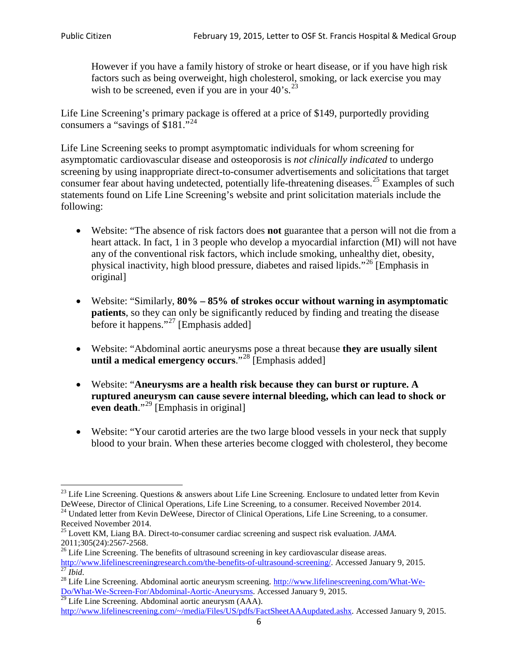However if you have a family history of stroke or heart disease, or if you have high risk factors such as being overweight, high cholesterol, smoking, or lack exercise you may wish to be screened, even if you are in your  $40^\circ$ s.<sup>[23](#page-5-0)</sup>

Life Line Screening's primary package is offered at a price of \$149, purportedly providing consumers a "savings of \$181."<sup>[24](#page-5-1)</sup>

Life Line Screening seeks to prompt asymptomatic individuals for whom screening for asymptomatic cardiovascular disease and osteoporosis is *not clinically indicated* to undergo screening by using inappropriate direct-to-consumer advertisements and solicitations that target consumer fear about having undetected, potentially life-threatening diseases.<sup>[25](#page-5-2)</sup> Examples of such statements found on Life Line Screening's website and print solicitation materials include the following:

- Website: "The absence of risk factors does **not** guarantee that a person will not die from a heart attack. In fact, 1 in 3 people who develop a myocardial infarction (MI) will not have any of the conventional risk factors, which include smoking, unhealthy diet, obesity, physical inactivity, high blood pressure, diabetes and raised lipids."[26](#page-5-3) [Emphasis in original]
- Website: "Similarly, **80% – 85% of strokes occur without warning in asymptomatic patients**, so they can only be significantly reduced by finding and treating the disease before it happens."<sup>[27](#page-5-4)</sup> [Emphasis added]
- Website: "Abdominal aortic aneurysms pose a threat because **they are usually silent until a medical emergency occurs**."[28](#page-5-5) [Emphasis added]
- Website: "**Aneurysms are a health risk because they can burst or rupture. A ruptured aneurysm can cause severe internal bleeding, which can lead to shock or even death.**"<sup>[29](#page-5-6)</sup> [Emphasis in original]
- Website: "Your carotid arteries are the two large blood vessels in your neck that supply blood to your brain. When these arteries become clogged with cholesterol, they become

<span id="page-5-0"></span><sup>&</sup>lt;sup>23</sup> Life Line Screening. Questions  $\&$  answers about Life Line Screening. Enclosure to undated letter from Kevin DeWeese, Director of Clinical Operations, Life Line Screening, to a consumer. Received November 2014.

<span id="page-5-1"></span><sup>&</sup>lt;sup>24</sup> Undated letter from Kevin DeWeese, Director of Clinical Operations, Life Line Screening, to a consumer. Received November 2014.

<span id="page-5-2"></span><sup>25</sup> Lovett KM, Liang BA. Direct-to-consumer cardiac screening and suspect risk evaluation. *JAMA*.  $2011;305(24):2567-2568$ .<br><sup>26</sup> Life Line Screening. The benefits of ultrasound screening in key cardiovascular disease areas.

<span id="page-5-3"></span>[http://www.lifelinescreeningresearch.com/the-benefits-of-ultrasound-screening/.](http://www.lifelinescreeningresearch.com/the-benefits-of-ultrasound-screening/) Accessed January 9, 2015.<br><sup>28</sup> Life Line Screening. Abdominal aortic aneurysm screening. http://www.lifelinescreening.com/What-We-<br><sup>28</sup> Life L

<span id="page-5-5"></span><span id="page-5-4"></span>[Do/What-We-Screen-For/Abdominal-Aortic-Aneurysms.](http://www.lifelinescreening.com/What-We-Do/What-We-Screen-For/Abdominal-Aortic-Aneurysms) Accessed January 9, 2015. <sup>29</sup> Life Line Screening. Abdominal aortic aneurysm (AAA).

<span id="page-5-6"></span>[http://www.lifelinescreening.com/~/media/Files/US/pdfs/FactSheetAAAupdated.ashx.](http://www.lifelinescreening.com/~/media/Files/US/pdfs/FactSheetAAAupdated.ashx) Accessed January 9, 2015.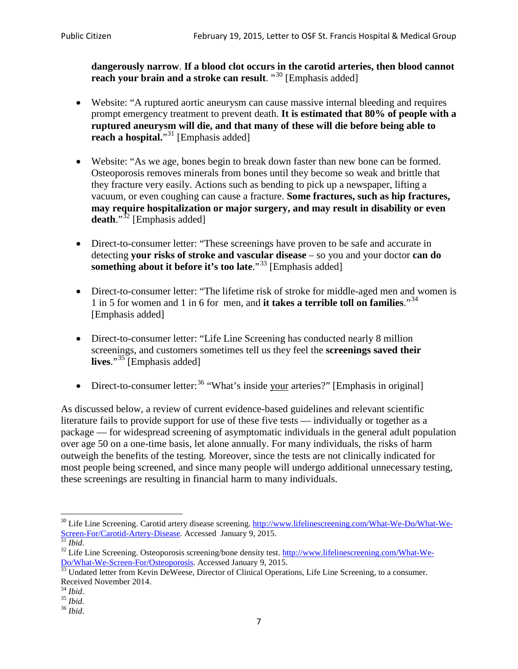**dangerously narrow**. **If a blood clot occurs in the carotid arteries, then blood cannot reach your brain and a stroke can result**. "<sup>[30](#page-6-0)</sup> [Emphasis added]

- Website: "A ruptured aortic aneurysm can cause massive internal bleeding and requires prompt emergency treatment to prevent death. **It is estimated that 80% of people with a ruptured aneurysm will die, and that many of these will die before being able to reach a hospital.**"<sup>[31](#page-6-1)</sup> [Emphasis added]
- Website: "As we age, bones begin to break down faster than new bone can be formed. Osteoporosis removes minerals from bones until they become so weak and brittle that they fracture very easily. Actions such as bending to pick up a newspaper, lifting a vacuum, or even coughing can cause a fracture. **Some fractures, such as hip fractures, may require hospitalization or major surgery, and may result in disability or even**  death."<sup>[32](#page-6-2)</sup> [Emphasis added]
- Direct-to-consumer letter: "These screenings have proven to be safe and accurate in detecting **your risks of stroke and vascular disease** – so you and your doctor **can do something about it before it's too late.**"<sup>[33](#page-6-3)</sup> [Emphasis added]
- Direct-to-consumer letter: "The lifetime risk of stroke for middle-aged men and women is 1 in 5 for women and 1 in 6 for men, and **it takes a terrible toll on families**."[34](#page-6-4) [Emphasis added]
- Direct-to-consumer letter: "Life Line Screening has conducted nearly 8 million screenings, and customers sometimes tell us they feel the **screenings saved their lives**."[35](#page-6-5) [Emphasis added]
- Direct-to-consumer letter:  $36$  "What's inside your arteries?" [Emphasis in original]

As discussed below, a review of current evidence-based guidelines and relevant scientific literature fails to provide support for use of these five tests — individually or together as a package — for widespread screening of asymptomatic individuals in the general adult population over age 50 on a one-time basis, let alone annually. For many individuals, the risks of harm outweigh the benefits of the testing. Moreover, since the tests are not clinically indicated for most people being screened, and since many people will undergo additional unnecessary testing, these screenings are resulting in financial harm to many individuals.

<span id="page-6-0"></span><sup>&</sup>lt;sup>30</sup> Life Line Screening. Carotid artery disease screening. [http://www.lifelinescreening.com/What-We-Do/What-We-](http://www.lifelinescreening.com/What-We-Do/What-We-Screen-For/Carotid-Artery-Disease)[Screen-For/Carotid-Artery-Disease.](http://www.lifelinescreening.com/What-We-Do/What-We-Screen-For/Carotid-Artery-Disease) Accessed January 9, 2015.<br><sup>31</sup> *Ibid.* 32 Life Line Screening. Osteoporosis screening/bone density test. [http://www.lifelinescreening.com/What-We-](http://www.lifelinescreening.com/What-We-Do/What-We-Screen-For/Osteoporosis)

<span id="page-6-2"></span><span id="page-6-1"></span>[Do/What-We-Screen-For/Osteoporosis.](http://www.lifelinescreening.com/What-We-Do/What-We-Screen-For/Osteoporosis) Accessed January 9, 2015. <sup>33</sup> Undated letter from Kevin DeWeese, Director of Clinical Operations, Life Line Screening, to a consumer.

<span id="page-6-3"></span>Received November 2014.<br><sup>34</sup> Ibid.

<span id="page-6-4"></span>

<span id="page-6-5"></span><sup>34</sup> *Ibid*. 35 *Ibid*. 36 *Ibid*.

<span id="page-6-6"></span>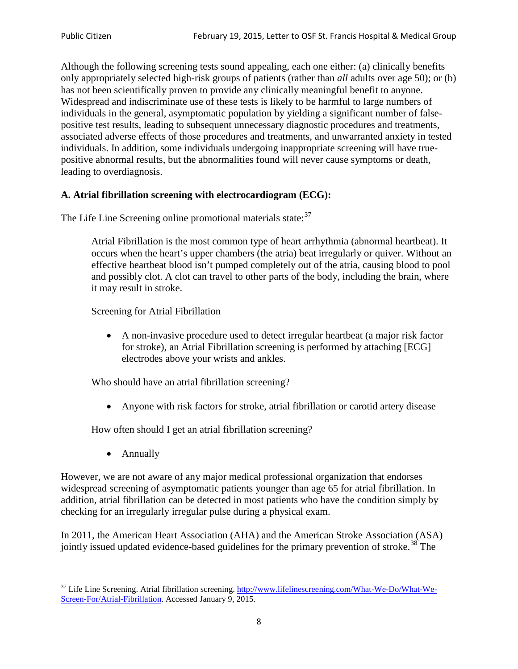Although the following screening tests sound appealing, each one either: (a) clinically benefits only appropriately selected high-risk groups of patients (rather than *all* adults over age 50); or (b) has not been scientifically proven to provide any clinically meaningful benefit to anyone. Widespread and indiscriminate use of these tests is likely to be harmful to large numbers of individuals in the general, asymptomatic population by yielding a significant number of falsepositive test results, leading to subsequent unnecessary diagnostic procedures and treatments, associated adverse effects of those procedures and treatments, and unwarranted anxiety in tested individuals. In addition, some individuals undergoing inappropriate screening will have truepositive abnormal results, but the abnormalities found will never cause symptoms or death, leading to overdiagnosis.

# **A. Atrial fibrillation screening with electrocardiogram (ECG):**

The Life Line Screening online promotional materials state:<sup>[37](#page-7-0)</sup>

Atrial Fibrillation is the most common type of heart arrhythmia (abnormal heartbeat). It occurs when the heart's upper chambers (the atria) beat irregularly or quiver. Without an effective heartbeat blood isn't pumped completely out of the atria, causing blood to pool and possibly clot. A clot can travel to other parts of the body, including the brain, where it may result in stroke.

Screening for Atrial Fibrillation

• A non-invasive procedure used to detect irregular heartbeat (a major risk factor for stroke), an Atrial Fibrillation screening is performed by attaching [ECG] electrodes above your wrists and ankles.

Who should have an atrial fibrillation screening?

• Anyone with risk factors for stroke, atrial fibrillation or carotid artery disease

How often should I get an atrial fibrillation screening?

• Annually

<span id="page-7-1"></span>However, we are not aware of any major medical professional organization that endorses widespread screening of asymptomatic patients younger than age 65 for atrial fibrillation. In addition, atrial fibrillation can be detected in most patients who have the condition simply by checking for an irregularly irregular pulse during a physical exam.

In 2011, the American Heart Association (AHA) and the American Stroke Association (ASA) jointly issued updated evidence-based guidelines for the primary prevention of stroke.<sup>[38](#page-7-1)</sup> The

<span id="page-7-0"></span><sup>&</sup>lt;sup>37</sup> Life Line Screening. Atrial fibrillation screening. [http://www.lifelinescreening.com/What-We-Do/What-We-](http://www.lifelinescreening.com/What-We-Do/What-We-Screen-For/Atrial-Fibrillation)[Screen-For/Atrial-Fibrillation.](http://www.lifelinescreening.com/What-We-Do/What-We-Screen-For/Atrial-Fibrillation) Accessed January 9, 2015.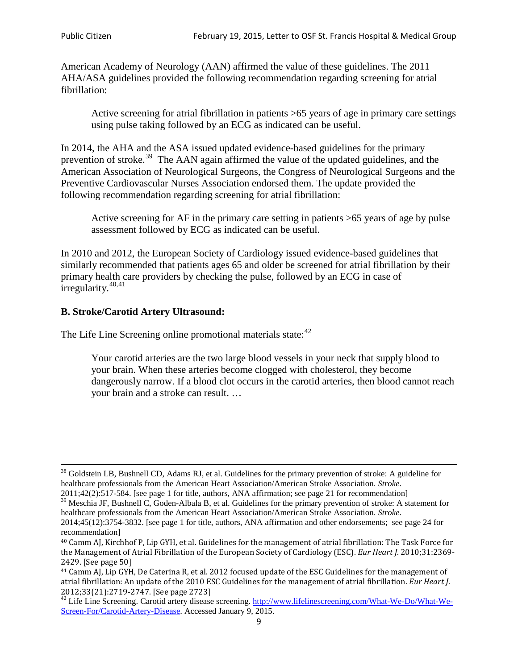American Academy of Neurology (AAN) affirmed the value of these guidelines. The 2011 AHA/ASA guidelines provided the following recommendation regarding screening for atrial fibrillation:

Active screening for atrial fibrillation in patients >65 years of age in primary care settings using pulse taking followed by an ECG as indicated can be useful.

In 2014, the AHA and the ASA issued updated evidence-based guidelines for the primary prevention of stroke.<sup>[39](#page-8-0)</sup> The AAN again affirmed the value of the updated guidelines, and the American Association of Neurological Surgeons, the Congress of Neurological Surgeons and the Preventive Cardiovascular Nurses Association endorsed them. The update provided the following recommendation regarding screening for atrial fibrillation:

Active screening for AF in the primary care setting in patients >65 years of age by pulse assessment followed by ECG as indicated can be useful.

In 2010 and 2012, the European Society of Cardiology issued evidence-based guidelines that similarly recommended that patients ages 65 and older be screened for atrial fibrillation by their primary health care providers by checking the pulse, followed by an ECG in case of irregularity. $40,41$  $40,41$ 

# **B. Stroke/Carotid Artery Ultrasound:**

The Life Line Screening online promotional materials state:<sup>[42](#page-8-3)</sup>

Your carotid arteries are the two large blood vessels in your neck that supply blood to your brain. When these arteries become clogged with cholesterol, they become dangerously narrow. If a blood clot occurs in the carotid arteries, then blood cannot reach your brain and a stroke can result. …

<sup>&</sup>lt;sup>38</sup> Goldstein LB, Bushnell CD, Adams RJ, et al. Guidelines for the primary prevention of stroke: A guideline for healthcare professionals from the American Heart Association/American Stroke Association. *Stroke*.

<sup>2011;42(2):517-584.</sup> [see page 1 for title, authors, ANA affirmation; see page 21 for recommendation]

<span id="page-8-0"></span> $\frac{2011,42(2)(317,601)}{39}$  Meschia JF, Bushnell C, Goden-Albala B, et al. Guidelines for the primary prevention of stroke: A statement for healthcare professionals from the American Heart Association/American Stroke Association. *Stroke*.

<sup>2014;45(12):3754-3832.</sup> [see page 1 for title, authors, ANA affirmation and other endorsements; see page 24 for recommendation]

<span id="page-8-1"></span><sup>40</sup> Camm AJ, Kirchhof P, Lip GYH, et al. Guidelines for the management of atrial fibrillation: The Task Force for the Management of Atrial Fibrillation of the European Society of Cardiology (ESC). *Eur Heart J*. 2010;31:2369- 2429. [See page 50]

<span id="page-8-2"></span><sup>41</sup> Camm AJ, Lip GYH, De Caterina R, et al. 2012 focused update of the ESC Guidelines for the management of atrial fibrillation: An update of the 2010 ESC Guidelines for the management of atrial fibrillation. *Eur Heart J*.

<span id="page-8-3"></span><sup>&</sup>lt;sup>2012</sup>;23(21):2719-2747. [See page 273] 42 Life Line Screening. [http://www.lifelinescreening.com/What-We-Do/What-We-](http://www.lifelinescreening.com/What-We-Do/What-We-Screen-For/Carotid-Artery-Disease)[Screen-For/Carotid-Artery-Disease.](http://www.lifelinescreening.com/What-We-Do/What-We-Screen-For/Carotid-Artery-Disease) Accessed January 9, 2015.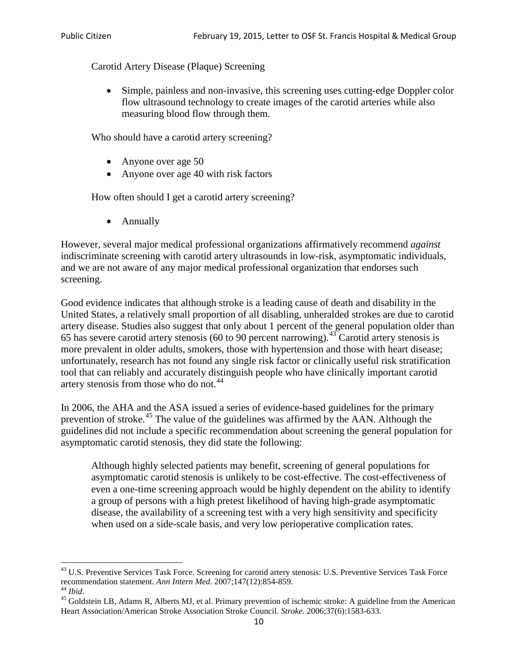Carotid Artery Disease (Plaque) Screening

• Simple, painless and non-invasive, this screening uses cutting-edge Doppler color flow ultrasound technology to create images of the carotid arteries while also measuring blood flow through them.

Who should have a carotid artery screening?

- Anyone over age 50
- Anyone over age 40 with risk factors

How often should I get a carotid artery screening?

• Annually

However, several major medical professional organizations affirmatively recommend *against* indiscriminate screening with carotid artery ultrasounds in low-risk, asymptomatic individuals, and we are not aware of any major medical professional organization that endorses such screening.

Good evidence indicates that although stroke is a leading cause of death and disability in the United States, a relatively small proportion of all disabling, unheralded strokes are due to carotid artery disease. Studies also suggest that only about 1 percent of the general population older than 65 has severe carotid artery stenosis (60 to 90 percent narrowing).<sup>[43](#page-9-0)</sup> Carotid artery stenosis is more prevalent in older adults, smokers, those with hypertension and those with heart disease; unfortunately, research has not found any single risk factor or clinically useful risk stratification tool that can reliably and accurately distinguish people who have clinically important carotid artery stenosis from those who do not.<sup>[44](#page-9-1)</sup>

In 2006, the AHA and the ASA issued a series of evidence-based guidelines for the primary prevention of stroke.[45](#page-9-2) The value of the guidelines was affirmed by the AAN. Although the guidelines did not include a specific recommendation about screening the general population for asymptomatic carotid stenosis, they did state the following:

Although highly selected patients may benefit, screening of general populations for asymptomatic carotid stenosis is unlikely to be cost-effective. The cost-effectiveness of even a one-time screening approach would be highly dependent on the ability to identify a group of persons with a high pretest likelihood of having high-grade asymptomatic disease, the availability of a screening test with a very high sensitivity and specificity when used on a side-scale basis, and very low perioperative complication rates.

<span id="page-9-0"></span> $^{43}$  U.S. Preventive Services Task Force. Screening for carotid artery stenosis: U.S. Preventive Services Task Force recommendation statement. Ann Intern Med. 2007;147(12):854-859.

<span id="page-9-2"></span><span id="page-9-1"></span><sup>&</sup>lt;sup>44</sup> *Ibid*. <sup>45</sup> Goldstein LB, Adams R, Alberts MJ, et al. Primary prevention of ischemic stroke: A guideline from the American <sup>45</sup> Goldstein LB, Adams R, Alberts MJ, et al. Primary prevention of ischemic stroke: A guide Heart Association/American Stroke Association Stroke Council. *Stroke*. 2006;37(6):1583-633.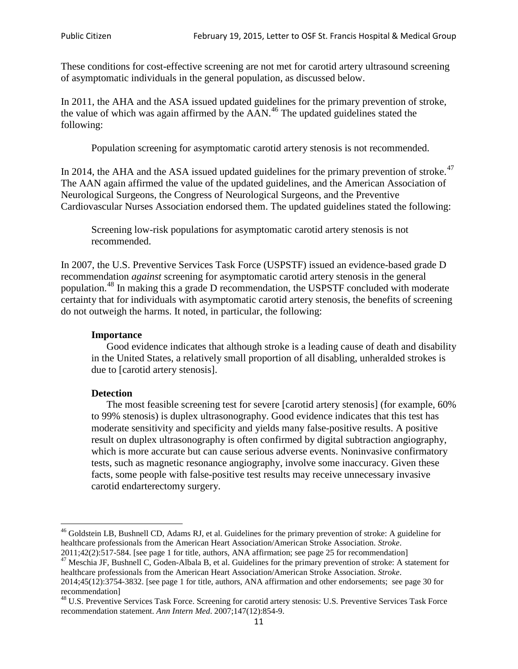These conditions for cost-effective screening are not met for carotid artery ultrasound screening of asymptomatic individuals in the general population, as discussed below.

In 2011, the AHA and the ASA issued updated guidelines for the primary prevention of stroke, the value of which was again affirmed by the  $AAN<sup>46</sup>$  $AAN<sup>46</sup>$  $AAN<sup>46</sup>$ . The updated guidelines stated the following:

Population screening for asymptomatic carotid artery stenosis is not recommended.

In 2014, the AHA and the ASA issued updated guidelines for the primary prevention of stroke.<sup>47</sup> The AAN again affirmed the value of the updated guidelines, and the American Association of Neurological Surgeons, the Congress of Neurological Surgeons, and the Preventive Cardiovascular Nurses Association endorsed them. The updated guidelines stated the following:

Screening low-risk populations for asymptomatic carotid artery stenosis is not recommended.

In 2007, the U.S. Preventive Services Task Force (USPSTF) issued an evidence-based grade D recommendation *against* screening for asymptomatic carotid artery stenosis in the general population.[48](#page-10-2) In making this a grade D recommendation, the USPSTF concluded with moderate certainty that for individuals with asymptomatic carotid artery stenosis, the benefits of screening do not outweigh the harms. It noted, in particular, the following:

#### **Importance**

Good evidence indicates that although stroke is a leading cause of death and disability in the United States, a relatively small proportion of all disabling, unheralded strokes is due to [carotid artery stenosis].

#### **Detection**

The most feasible screening test for severe [carotid artery stenosis] (for example, 60% to 99% stenosis) is duplex ultrasonography. Good evidence indicates that this test has moderate sensitivity and specificity and yields many false-positive results. A positive result on duplex ultrasonography is often confirmed by digital subtraction angiography, which is more accurate but can cause serious adverse events. Noninvasive confirmatory tests, such as magnetic resonance angiography, involve some inaccuracy. Given these facts, some people with false-positive test results may receive unnecessary invasive carotid endarterectomy surgery.

<span id="page-10-0"></span><sup>&</sup>lt;sup>46</sup> Goldstein LB, Bushnell CD, Adams RJ, et al. Guidelines for the primary prevention of stroke: A guideline for healthcare professionals from the American Heart Association/American Stroke Association. *Stroke*.<br>2011;42(2):517-584. [see page 1 for title, authors, ANA affirmation; see page 25 for recommendation]

<span id="page-10-1"></span><sup>&</sup>lt;sup>47</sup> Meschia JF, Bushnell C, Goden-Albala B, et al. Guidelines for the primary prevention of stroke: A statement for healthcare professionals from the American Heart Association/American Stroke Association. *Stroke*. 2014;45(12):3754-3832. [see page 1 for title, authors, ANA affirmation and other endorsements; see page 30 for

recommendation]

<span id="page-10-2"></span><sup>&</sup>lt;sup>48</sup> U.S. Preventive Services Task Force. Screening for carotid artery stenosis: U.S. Preventive Services Task Force recommendation statement. *Ann Intern Med*. 2007;147(12):854-9.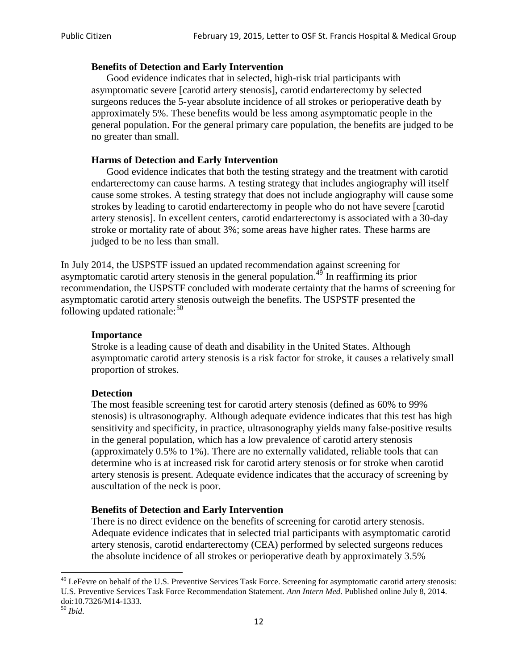#### **Benefits of Detection and Early Intervention**

Good evidence indicates that in selected, high-risk trial participants with asymptomatic severe [carotid artery stenosis], carotid endarterectomy by selected surgeons reduces the 5-year absolute incidence of all strokes or perioperative death by approximately 5%. These benefits would be less among asymptomatic people in the general population. For the general primary care population, the benefits are judged to be no greater than small.

### **Harms of Detection and Early Intervention**

Good evidence indicates that both the testing strategy and the treatment with carotid endarterectomy can cause harms. A testing strategy that includes angiography will itself cause some strokes. A testing strategy that does not include angiography will cause some strokes by leading to carotid endarterectomy in people who do not have severe [carotid artery stenosis]. In excellent centers, carotid endarterectomy is associated with a 30-day stroke or mortality rate of about 3%; some areas have higher rates. These harms are judged to be no less than small.

In July 2014, the USPSTF issued an updated recommendation against screening for asymptomatic carotid artery stenosis in the general population.<sup>[49](#page-11-0)</sup> In reaffirming its prior recommendation, the USPSTF concluded with moderate certainty that the harms of screening for asymptomatic carotid artery stenosis outweigh the benefits. The USPSTF presented the following updated rationale: $50$ 

#### **Importance**

Stroke is a leading cause of death and disability in the United States. Although asymptomatic carotid artery stenosis is a risk factor for stroke, it causes a relatively small proportion of strokes.

#### **Detection**

The most feasible screening test for carotid artery stenosis (defined as 60% to 99% stenosis) is ultrasonography. Although adequate evidence indicates that this test has high sensitivity and specificity, in practice, ultrasonography yields many false-positive results in the general population, which has a low prevalence of carotid artery stenosis (approximately 0.5% to 1%). There are no externally validated, reliable tools that can determine who is at increased risk for carotid artery stenosis or for stroke when carotid artery stenosis is present. Adequate evidence indicates that the accuracy of screening by auscultation of the neck is poor.

# **Benefits of Detection and Early Intervention**

There is no direct evidence on the benefits of screening for carotid artery stenosis. Adequate evidence indicates that in selected trial participants with asymptomatic carotid artery stenosis, carotid endarterectomy (CEA) performed by selected surgeons reduces the absolute incidence of all strokes or perioperative death by approximately 3.5%

<span id="page-11-0"></span><sup>&</sup>lt;sup>49</sup> LeFevre on behalf of the U.S. Preventive Services Task Force. Screening for asymptomatic carotid artery stenosis: U.S. Preventive Services Task Force Recommendation Statement. *Ann Intern Med*. Published online July 8, 2014. doi:10.7326/M14-1333. <sup>50</sup> *Ibid*.

<span id="page-11-1"></span>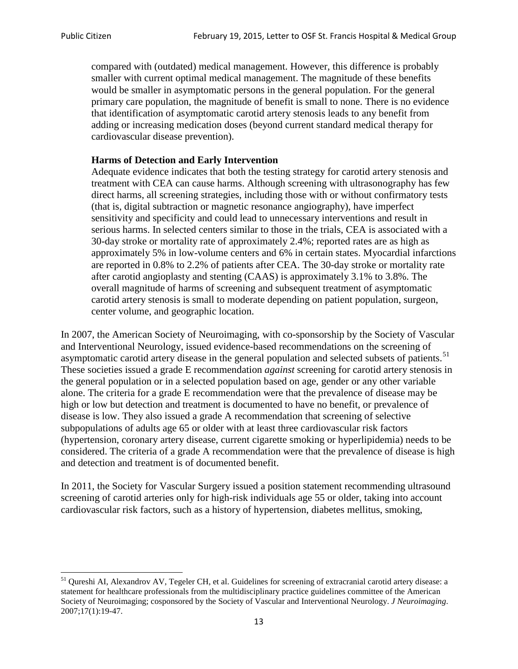compared with (outdated) medical management. However, this difference is probably smaller with current optimal medical management. The magnitude of these benefits would be smaller in asymptomatic persons in the general population. For the general primary care population, the magnitude of benefit is small to none. There is no evidence that identification of asymptomatic carotid artery stenosis leads to any benefit from adding or increasing medication doses (beyond current standard medical therapy for cardiovascular disease prevention).

# **Harms of Detection and Early Intervention**

Adequate evidence indicates that both the testing strategy for carotid artery stenosis and treatment with CEA can cause harms. Although screening with ultrasonography has few direct harms, all screening strategies, including those with or without confirmatory tests (that is, digital subtraction or magnetic resonance angiography), have imperfect sensitivity and specificity and could lead to unnecessary interventions and result in serious harms. In selected centers similar to those in the trials, CEA is associated with a 30-day stroke or mortality rate of approximately 2.4%; reported rates are as high as approximately 5% in low-volume centers and 6% in certain states. Myocardial infarctions are reported in 0.8% to 2.2% of patients after CEA. The 30-day stroke or mortality rate after carotid angioplasty and stenting (CAAS) is approximately 3.1% to 3.8%. The overall magnitude of harms of screening and subsequent treatment of asymptomatic carotid artery stenosis is small to moderate depending on patient population, surgeon, center volume, and geographic location.

In 2007, the American Society of Neuroimaging, with co-sponsorship by the Society of Vascular and Interventional Neurology, issued evidence-based recommendations on the screening of asymptomatic carotid artery disease in the general population and selected subsets of patients.<sup>[51](#page-12-0)</sup> These societies issued a grade E recommendation *against* screening for carotid artery stenosis in the general population or in a selected population based on age, gender or any other variable alone. The criteria for a grade E recommendation were that the prevalence of disease may be high or low but detection and treatment is documented to have no benefit, or prevalence of disease is low. They also issued a grade A recommendation that screening of selective subpopulations of adults age 65 or older with at least three cardiovascular risk factors (hypertension, coronary artery disease, current cigarette smoking or hyperlipidemia) needs to be considered. The criteria of a grade A recommendation were that the prevalence of disease is high and detection and treatment is of documented benefit.

In 2011, the Society for Vascular Surgery issued a position statement recommending ultrasound screening of carotid arteries only for high-risk individuals age 55 or older, taking into account cardiovascular risk factors, such as a history of hypertension, diabetes mellitus, smoking,

<span id="page-12-0"></span><sup>&</sup>lt;sup>51</sup> Qureshi AI, Alexandrov AV, Tegeler CH, et al. Guidelines for screening of extracranial carotid artery disease: a statement for healthcare professionals from the multidisciplinary practice guidelines committee of the American Society of Neuroimaging; cosponsored by the Society of Vascular and Interventional Neurology. *J Neuroimaging*. 2007;17(1):19-47.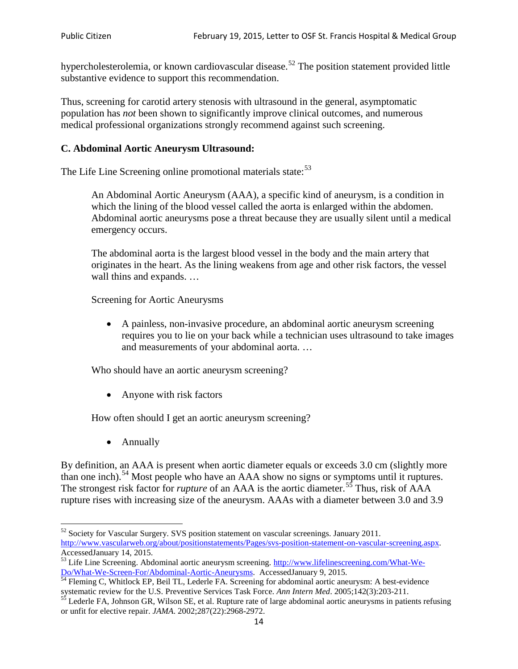hypercholesterolemia, or known cardiovascular disease.<sup>[52](#page-13-0)</sup> The position statement provided little substantive evidence to support this recommendation.

Thus, screening for carotid artery stenosis with ultrasound in the general, asymptomatic population has *not* been shown to significantly improve clinical outcomes, and numerous medical professional organizations strongly recommend against such screening.

### **C. Abdominal Aortic Aneurysm Ultrasound:**

The Life Line Screening online promotional materials state:<sup>[53](#page-13-1)</sup>

An Abdominal Aortic Aneurysm (AAA), a specific kind of aneurysm, is a condition in which the lining of the blood vessel called the aorta is enlarged within the abdomen. Abdominal aortic aneurysms pose a threat because they are usually silent until a medical emergency occurs.

The abdominal aorta is the largest blood vessel in the body and the main artery that originates in the heart. As the lining weakens from age and other risk factors, the vessel wall thins and expands. …

Screening for Aortic Aneurysms

• A painless, non-invasive procedure, an abdominal aortic aneurysm screening requires you to lie on your back while a technician uses ultrasound to take images and measurements of your abdominal aorta. …

Who should have an aortic aneurysm screening?

• Anyone with risk factors

How often should I get an aortic aneurysm screening?

• Annually

By definition, an AAA is present when aortic diameter equals or exceeds 3.0 cm (slightly more than one inch).<sup>[54](#page-13-2)</sup> Most people who have an AAA show no signs or symptoms until it ruptures. The strongest risk factor for *rupture* of an AAA is the aortic diameter.<sup>[55](#page-13-3)</sup> Thus, risk of AAA rupture rises with increasing size of the aneurysm. AAAs with a diameter between 3.0 and 3.9

<span id="page-13-0"></span><sup>&</sup>lt;sup>52</sup> Society for Vascular Surgery. SVS position statement on vascular screenings. January 2011. http://www.vascularweb.org/about/positionstatements/Pages/svs-position-statement-on-vascular-screening.aspx.<br>Accessed January 14, 2015.

<span id="page-13-1"></span>Accessed January 14, 2015.<br>
Sa Life Line Screening. Abdominal aortic aneurysm screening. http://www.lifelinescreening.com/What-We-<br>
Do/What-We-Screen-For/Abdominal-Aortic-Aneurysms. Accessed January 9, 2015.

<span id="page-13-2"></span> $\frac{54}{9}$  Fleming C, Whitlock EP, Beil TL, Lederle FA. Screening for abdominal aortic aneurysm: A best-evidence systematic review for the U.S. Preventive Services Task Force. *Ann Intern Med.* 2005;142(3):203-211.<br><sup>55</sup> Lederle FA, Johnson GR, Wilson SE, et al. Rupture rate of large abdominal aortic aneurysms in patients refusing

<span id="page-13-3"></span>or unfit for elective repair. *JAMA*. 2002;287(22):2968-2972.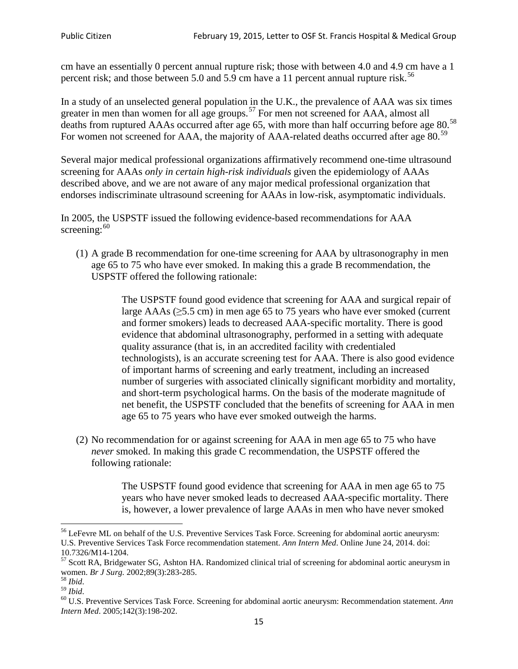cm have an essentially 0 percent annual rupture risk; those with between 4.0 and 4.9 cm have a 1 percent risk; and those between 5.0 and 5.9 cm have a 11 percent annual rupture risk.<sup>[56](#page-14-0)</sup>

In a study of an unselected general population in the U.K., the prevalence of AAA was six times greater in men than women for all age groups.<sup>[57](#page-14-1)</sup> For men not screened for  $AAA$ , almost all deaths from ruptured AAAs occurred after age 65, with more than half occurring before age 80.<sup>[58](#page-14-2)</sup> For women not screened for AAA, the majority of AAA-related deaths occurred after age 80.<sup>[59](#page-14-3)</sup>

Several major medical professional organizations affirmatively recommend one-time ultrasound screening for AAAs *only in certain high-risk individuals* given the epidemiology of AAAs described above, and we are not aware of any major medical professional organization that endorses indiscriminate ultrasound screening for AAAs in low-risk, asymptomatic individuals.

In 2005, the USPSTF issued the following evidence-based recommendations for AAA screening:  $60$ 

(1) A grade B recommendation for one-time screening for AAA by ultrasonography in men age 65 to 75 who have ever smoked. In making this a grade [B recommendation,](http://www.uspreventiveservicestaskforce.org/uspstf/gradespre.htm#brec) the USPSTF offered the following rationale:

> The USPSTF found good evidence that screening for AAA and surgical repair of large AAAs ( $\geq$ 5.5 cm) in men age 65 to 75 years who have ever smoked (current and former smokers) leads to decreased AAA-specific mortality. There is good evidence that abdominal ultrasonography, performed in a setting with adequate quality assurance (that is, in an accredited facility with credentialed technologists), is an accurate screening test for AAA. There is also good evidence of important harms of screening and early treatment, including an increased number of surgeries with associated clinically significant morbidity and mortality, and short-term psychological harms. On the basis of the moderate magnitude of net benefit, the USPSTF concluded that the benefits of screening for AAA in men age 65 to 75 years who have ever smoked outweigh the harms.

(2) No recommendation for or against screening for AAA in men age 65 to 75 who have *never* smoked. In making this grade C recommendation, the USPSTF offered the following rationale:

> The USPSTF found good evidence that screening for AAA in men age 65 to 75 years who have never smoked leads to decreased AAA-specific mortality. There is, however, a lower prevalence of large AAAs in men who have never smoked

<span id="page-14-0"></span><sup>&</sup>lt;sup>56</sup> LeFevre ML on behalf of the U.S. Preventive Services Task Force. Screening for abdominal aortic aneurysm: U.S. Preventive Services Task Force recommendation statement. *Ann Intern Med*. Online June 24, 2014. doi:

<span id="page-14-1"></span><sup>10.7326/</sup>M14-1204.<br> $57$  Scott RA, Bridgewater SG, Ashton HA. Randomized clinical trial of screening for abdominal aortic aneurysm in women. *Br J Surg.* 2002;89(3):283-285.

<span id="page-14-4"></span><span id="page-14-3"></span>

<span id="page-14-2"></span><sup>&</sup>lt;sup>58</sup> *Ibid.*<br><sup>59</sup> *Ibid.* 2002;<br><sup>60</sup> U.S. Preventive Services Task Force. Screening for abdominal aortic aneurysm: Recommendation statement. *Ann Intern Med*. 2005;142(3):198-202.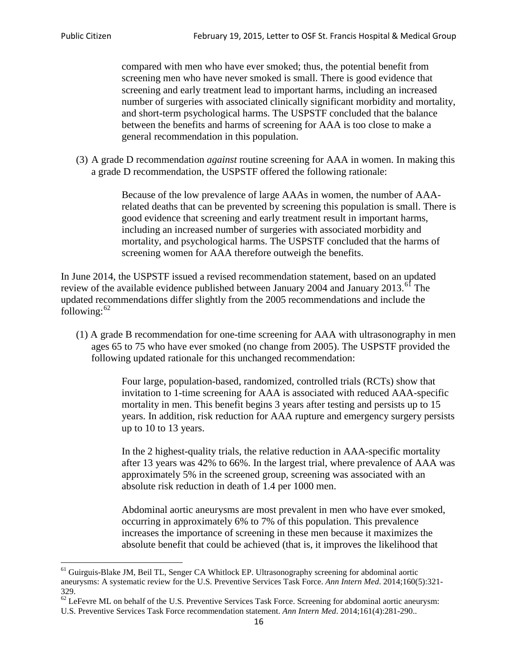compared with men who have ever smoked; thus, the potential benefit from screening men who have never smoked is small. There is good evidence that screening and early treatment lead to important harms, including an increased number of surgeries with associated clinically significant morbidity and mortality, and short-term psychological harms. The USPSTF concluded that the balance between the benefits and harms of screening for AAA is too close to make a general recommendation in this population.

(3) A grade D recommendation *against* routine screening for AAA in women. In making this a grade D recommendation, the USPSTF offered the following rationale:

> Because of the low prevalence of large AAAs in women, the number of AAArelated deaths that can be prevented by screening this population is small. There is good evidence that screening and early treatment result in important harms, including an increased number of surgeries with associated morbidity and mortality, and psychological harms. The USPSTF concluded that the harms of screening women for AAA therefore outweigh the benefits.

In June 2014, the USPSTF issued a revised recommendation statement, based on an updated review of the available evidence published between January 2004 and January 2013.<sup>[61](#page-15-0)</sup> The updated recommendations differ slightly from the 2005 recommendations and include the following: $62$ 

(1) A grade B recommendation for one-time screening for AAA with ultrasonography in men ages 65 to 75 who have ever smoked (no change from 2005). The USPSTF provided the following updated rationale for this unchanged recommendation:

> Four large, population-based, randomized, controlled trials (RCTs) show that invitation to 1-time screening for AAA is associated with reduced AAA-specific mortality in men. This benefit begins 3 years after testing and persists up to 15 years. In addition, risk reduction for AAA rupture and emergency surgery persists up to 10 to 13 years.

> In the 2 highest-quality trials, the relative reduction in AAA-specific mortality after 13 years was 42% to 66%. In the largest trial, where prevalence of AAA was approximately 5% in the screened group, screening was associated with an absolute risk reduction in death of 1.4 per 1000 men.

Abdominal aortic aneurysms are most prevalent in men who have ever smoked, occurring in approximately 6% to 7% of this population. This prevalence increases the importance of screening in these men because it maximizes the absolute benefit that could be achieved (that is, it improves the likelihood that

<span id="page-15-0"></span><sup>61</sup> Guirguis-Blake JM, Beil TL, Senger CA Whitlock EP. Ultrasonography screening for abdominal aortic aneurysms: A systematic review for the U.S. Preventive Services Task Force. *Ann Intern Med*. 2014;160(5):321- 329.

<span id="page-15-1"></span> $62$  LeFevre ML on behalf of the U.S. Preventive Services Task Force. Screening for abdominal aortic aneurysm: U.S. Preventive Services Task Force recommendation statement. *Ann Intern Med*. 2014;161(4):281-290..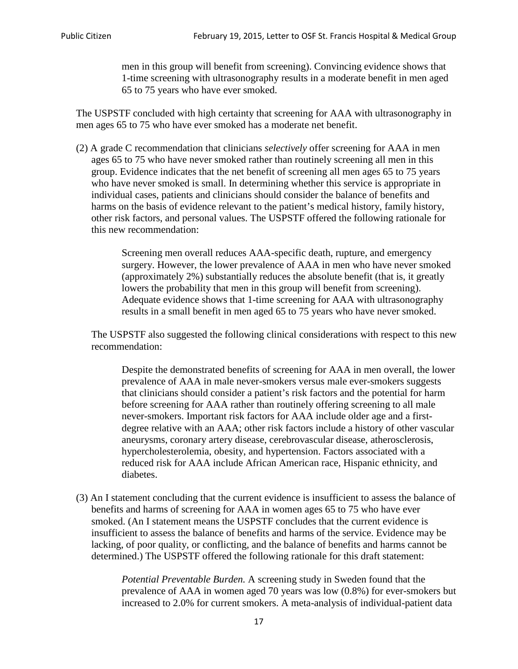men in this group will benefit from screening). Convincing evidence shows that 1-time screening with ultrasonography results in a moderate benefit in men aged 65 to 75 years who have ever smoked.

The USPSTF concluded with high certainty that screening for AAA with ultrasonography in men ages 65 to 75 who have ever smoked has a moderate net benefit.

(2) A grade C recommendation that clinicians *selectively* offer screening for AAA in men ages 65 to 75 who have never smoked rather than routinely screening all men in this group. Evidence indicates that the net benefit of screening all men ages 65 to 75 years who have never smoked is small. In determining whether this service is appropriate in individual cases, patients and clinicians should consider the balance of benefits and harms on the basis of evidence relevant to the patient's medical history, family history, other risk factors, and personal values. The USPSTF offered the following rationale for this new recommendation:

> Screening men overall reduces AAA-specific death, rupture, and emergency surgery. However, the lower prevalence of AAA in men who have never smoked (approximately 2%) substantially reduces the absolute benefit (that is, it greatly lowers the probability that men in this group will benefit from screening). Adequate evidence shows that 1-time screening for AAA with ultrasonography results in a small benefit in men aged 65 to 75 years who have never smoked.

The USPSTF also suggested the following clinical considerations with respect to this new recommendation:

Despite the demonstrated benefits of screening for AAA in men overall, the lower prevalence of AAA in male never-smokers versus male ever-smokers suggests that clinicians should consider a patient's risk factors and the potential for harm before screening for AAA rather than routinely offering screening to all male never-smokers. Important risk factors for AAA include older age and a firstdegree relative with an AAA; other risk factors include a history of other vascular aneurysms, coronary artery disease, cerebrovascular disease, atherosclerosis, hypercholesterolemia, obesity, and hypertension. Factors associated with a reduced risk for AAA include African American race, Hispanic ethnicity, and diabetes.

(3) An I statement concluding that the current evidence is insufficient to assess the balance of benefits and harms of screening for AAA in women ages 65 to 75 who have ever smoked. (An I statement means the USPSTF concludes that the current evidence is insufficient to assess the balance of benefits and harms of the service. Evidence may be lacking, of poor quality, or conflicting, and the balance of benefits and harms cannot be determined.) The USPSTF offered the following rationale for this draft statement:

> *Potential Preventable Burden.* A screening study in Sweden found that the prevalence of AAA in women aged 70 years was low (0.8%) for ever-smokers but increased to 2.0% for current smokers. A meta-analysis of individual-patient data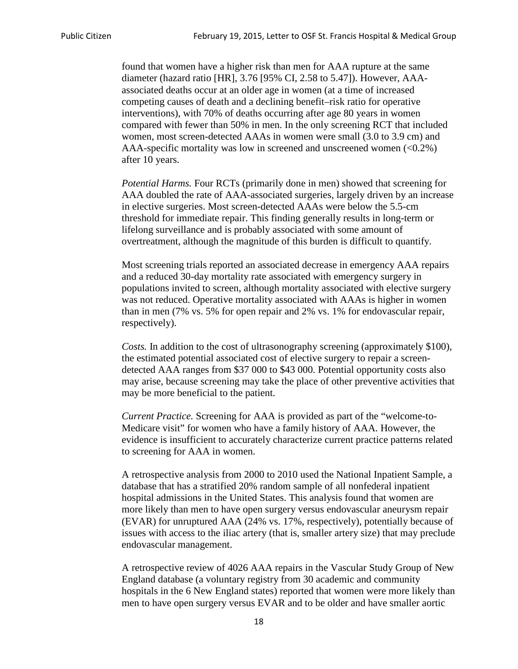found that women have a higher risk than men for AAA rupture at the same diameter (hazard ratio [HR], 3.76 [95% CI, 2.58 to 5.47]). However, AAAassociated deaths occur at an older age in women (at a time of increased competing causes of death and a declining benefit–risk ratio for operative interventions), with 70% of deaths occurring after age 80 years in women compared with fewer than 50% in men. In the only screening RCT that included women, most screen-detected AAAs in women were small (3.0 to 3.9 cm) and AAA-specific mortality was low in screened and unscreened women (<0.2%) after 10 years.

*Potential Harms.* Four RCTs (primarily done in men) showed that screening for AAA doubled the rate of AAA-associated surgeries, largely driven by an increase in elective surgeries. Most screen-detected AAAs were below the 5.5-cm threshold for immediate repair. This finding generally results in long-term or lifelong surveillance and is probably associated with some amount of overtreatment, although the magnitude of this burden is difficult to quantify.

Most screening trials reported an associated decrease in emergency AAA repairs and a reduced 30-day mortality rate associated with emergency surgery in populations invited to screen, although mortality associated with elective surgery was not reduced. Operative mortality associated with AAAs is higher in women than in men (7% vs. 5% for open repair and 2% vs. 1% for endovascular repair, respectively).

*Costs.* In addition to the cost of ultrasonography screening (approximately \$100), the estimated potential associated cost of elective surgery to repair a screendetected AAA ranges from \$37 000 to \$43 000. Potential opportunity costs also may arise, because screening may take the place of other preventive activities that may be more beneficial to the patient.

*Current Practice.* Screening for AAA is provided as part of the "welcome-to-Medicare visit" for women who have a family history of AAA. However, the evidence is insufficient to accurately characterize current practice patterns related to screening for AAA in women.

A retrospective analysis from 2000 to 2010 used the National Inpatient Sample, a database that has a stratified 20% random sample of all nonfederal inpatient hospital admissions in the United States. This analysis found that women are more likely than men to have open surgery versus endovascular aneurysm repair (EVAR) for unruptured AAA (24% vs. 17%, respectively), potentially because of issues with access to the iliac artery (that is, smaller artery size) that may preclude endovascular management.

A retrospective review of 4026 AAA repairs in the Vascular Study Group of New England database (a voluntary registry from 30 academic and community hospitals in the 6 New England states) reported that women were more likely than men to have open surgery versus EVAR and to be older and have smaller aortic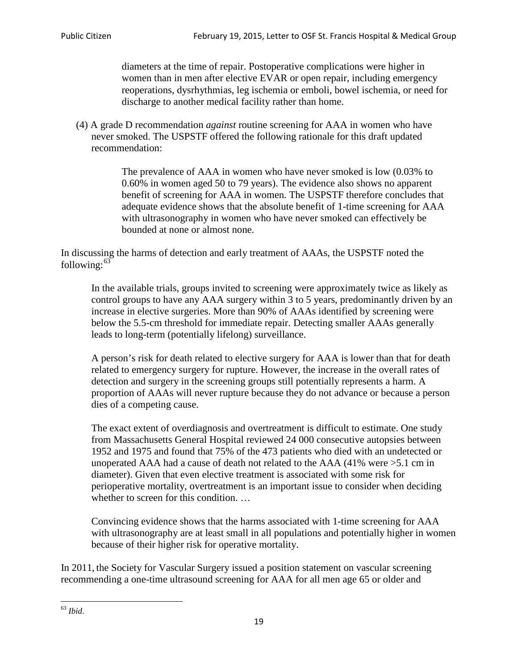diameters at the time of repair. Postoperative complications were higher in women than in men after elective EVAR or open repair, including emergency reoperations, dysrhythmias, leg ischemia or emboli, bowel ischemia, or need for discharge to another medical facility rather than home.

(4) A grade D recommendation *against* routine screening for AAA in women who have never smoked. The USPSTF offered the following rationale for this draft updated recommendation:

> The prevalence of AAA in women who have never smoked is low (0.03% to 0.60% in women aged 50 to 79 years). The evidence also shows no apparent benefit of screening for AAA in women. The USPSTF therefore concludes that adequate evidence shows that the absolute benefit of 1-time screening for AAA with ultrasonography in women who have never smoked can effectively be bounded at none or almost none.

In discussing the harms of detection and early treatment of AAAs, the USPSTF noted the following: $63$ 

In the available trials, groups invited to screening were approximately twice as likely as control groups to have any AAA surgery within 3 to 5 years, predominantly driven by an increase in elective surgeries. More than 90% of AAAs identified by screening were below the 5.5-cm threshold for immediate repair. Detecting smaller AAAs generally leads to long-term (potentially lifelong) surveillance.

A person's risk for death related to elective surgery for AAA is lower than that for death related to emergency surgery for rupture. However, the increase in the overall rates of detection and surgery in the screening groups still potentially represents a harm. A proportion of AAAs will never rupture because they do not advance or because a person dies of a competing cause.

The exact extent of overdiagnosis and overtreatment is difficult to estimate. One study from Massachusetts General Hospital reviewed 24 000 consecutive autopsies between 1952 and 1975 and found that 75% of the 473 patients who died with an undetected or unoperated AAA had a cause of death not related to the AAA (41% were >5.1 cm in diameter). Given that even elective treatment is associated with some risk for perioperative mortality, overtreatment is an important issue to consider when deciding whether to screen for this condition....

Convincing evidence shows that the harms associated with 1-time screening for AAA with ultrasonography are at least small in all populations and potentially higher in women because of their higher risk for operative mortality.

In 2011, the Society for Vascular Surgery issued a position statement on vascular screening recommending a one-time ultrasound screening for AAA for all men age 65 or older and

<span id="page-18-0"></span><sup>63</sup> *Ibid*.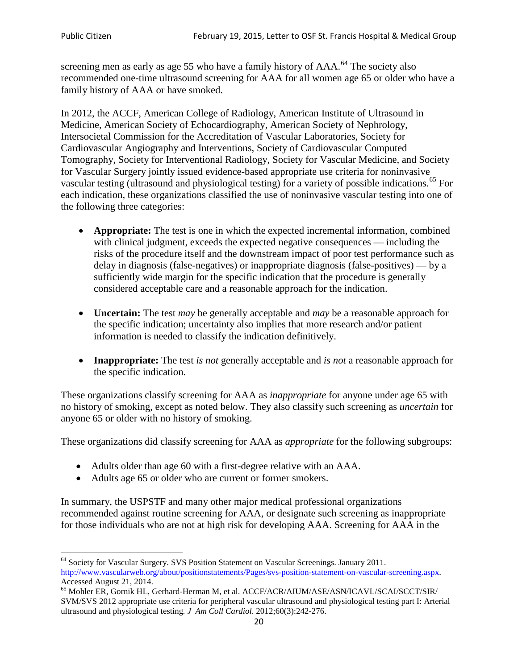screening men as early as age 55 who have a family history of AAA.<sup>[64](#page-19-0)</sup> The society also recommended one-time ultrasound screening for AAA for all women age 65 or older who have a family history of AAA or have smoked.

In 2012, the ACCF, American College of Radiology, American Institute of Ultrasound in Medicine, American Society of Echocardiography, American Society of Nephrology, Intersocietal Commission for the Accreditation of Vascular Laboratories, Society for Cardiovascular Angiography and Interventions, Society of Cardiovascular Computed Tomography, Society for Interventional Radiology, Society for Vascular Medicine, and Society for Vascular Surgery jointly issued evidence-based appropriate use criteria for noninvasive vascular testing (ultrasound and physiological testing) for a variety of possible indications.<sup>[65](#page-19-1)</sup> For each indication, these organizations classified the use of noninvasive vascular testing into one of the following three categories:

- **Appropriate:** The test is one in which the expected incremental information, combined with clinical judgment, exceeds the expected negative consequences — including the risks of the procedure itself and the downstream impact of poor test performance such as delay in diagnosis (false-negatives) or inappropriate diagnosis (false-positives) — by a sufficiently wide margin for the specific indication that the procedure is generally considered acceptable care and a reasonable approach for the indication.
- **Uncertain:** The test *may* be generally acceptable and *may* be a reasonable approach for the specific indication; uncertainty also implies that more research and/or patient information is needed to classify the indication definitively.
- **Inappropriate:** The test *is not* generally acceptable and *is not* a reasonable approach for the specific indication.

These organizations classify screening for AAA as *inappropriate* for anyone under age 65 with no history of smoking, except as noted below. They also classify such screening as *uncertain* for anyone 65 or older with no history of smoking.

These organizations did classify screening for AAA as *appropriate* for the following subgroups:

- Adults older than age 60 with a first-degree relative with an AAA.
- Adults age 65 or older who are current or former smokers.

In summary, the USPSTF and many other major medical professional organizations recommended against routine screening for AAA, or designate such screening as inappropriate for those individuals who are not at high risk for developing AAA. Screening for AAA in the

<span id="page-19-0"></span><sup>64</sup> Society for Vascular Surgery. SVS Position Statement on Vascular Screenings. January 2011. [http://www.vascularweb.org/about/positionstatements/Pages/svs-position-statement-on-vascular-screening.aspx.](http://www.vascularweb.org/about/positionstatements/Pages/svs-position-statement-on-vascular-screening.aspx) 

<span id="page-19-1"></span>Accessed August 21, 2014.<br><sup>65</sup> Mohler ER, Gornik HL, Gerhard-Herman M, et al. ACCF/ACR/AIUM/ASE/ASN/ICAVL/SCAI/SCCT/SIR/ SVM/SVS 2012 appropriate use criteria for peripheral vascular ultrasound and physiological testing part I: Arterial ultrasound and physiological testing*. J Am Coll Cardiol*. 2012;60(3):242-276.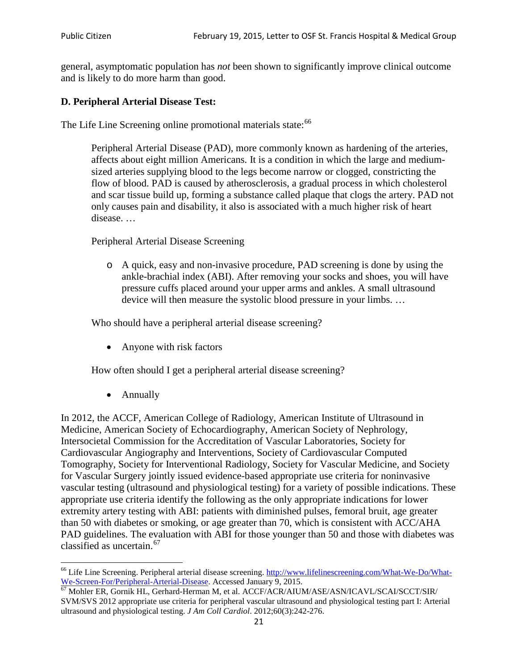general, asymptomatic population has *not* been shown to significantly improve clinical outcome and is likely to do more harm than good.

### **D. Peripheral Arterial Disease Test:**

The Life Line Screening online promotional materials state:<sup>[66](#page-20-0)</sup>

Peripheral Arterial Disease (PAD), more commonly known as hardening of the arteries, affects about eight million Americans. It is a condition in which the large and mediumsized arteries supplying blood to the legs become narrow or clogged, constricting the flow of blood. PAD is caused by atherosclerosis, a gradual process in which cholesterol and scar tissue build up, forming a substance called plaque that clogs the artery. PAD not only causes pain and disability, it also is associated with a much higher risk of heart disease. …

Peripheral Arterial Disease Screening

o A quick, easy and non-invasive procedure, PAD screening is done by using the ankle-brachial index (ABI). After removing your socks and shoes, you will have pressure cuffs placed around your upper arms and ankles. A small ultrasound device will then measure the systolic blood pressure in your limbs. …

Who should have a peripheral arterial disease screening?

• Anyone with risk factors

How often should I get a peripheral arterial disease screening?

• Annually

In 2012, the ACCF, American College of Radiology, American Institute of Ultrasound in Medicine, American Society of Echocardiography, American Society of Nephrology, Intersocietal Commission for the Accreditation of Vascular Laboratories, Society for Cardiovascular Angiography and Interventions, Society of Cardiovascular Computed Tomography, Society for Interventional Radiology, Society for Vascular Medicine, and Society for Vascular Surgery jointly issued evidence-based appropriate use criteria for noninvasive vascular testing (ultrasound and physiological testing) for a variety of possible indications. These appropriate use criteria identify the following as the only appropriate indications for lower extremity artery testing with ABI: patients with diminished pulses, femoral bruit, age greater than 50 with diabetes or smoking, or age greater than 70, which is consistent with ACC/AHA PAD guidelines. The evaluation with ABI for those younger than 50 and those with diabetes was classified as uncertain.<sup>[67](#page-20-1)</sup>

<span id="page-20-0"></span><sup>&</sup>lt;sup>66</sup> Life Line Screening. Peripheral arterial disease screening. [http://www.lifelinescreening.com/What-We-Do/What-](http://www.lifelinescreening.com/What-We-Do/What-We-Screen-For/Peripheral-Arterial-Disease)[We-Screen-For/Peripheral-Arterial-Disease.](http://www.lifelinescreening.com/What-We-Do/What-We-Screen-For/Peripheral-Arterial-Disease) Accessed January 9, 2015.<br><sup>67</sup> Mohler ER, Gornik HL, Gerhard-Herman M, et al. ACCF/ACR/AIUM/ASE/ASN/ICAVL/SCAI/SCCT/SIR/

<span id="page-20-1"></span>SVM/SVS 2012 appropriate use criteria for peripheral vascular ultrasound and physiological testing part I: Arterial ultrasound and physiological testing. *J Am Coll Cardiol*. 2012;60(3):242-276.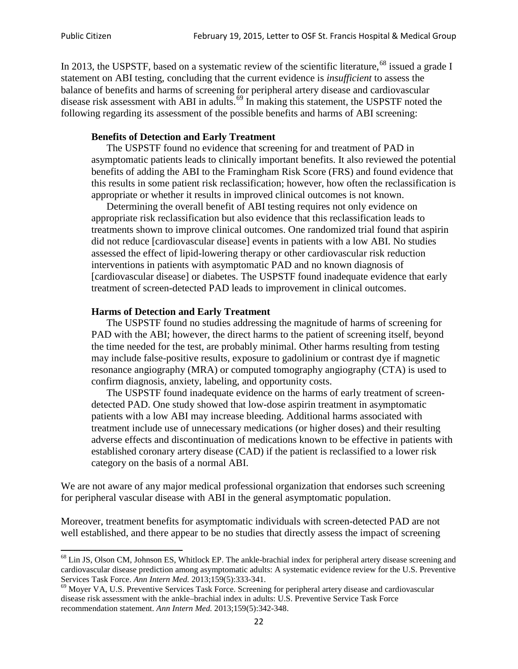In 2013, the USPSTF, based on a systematic review of the scientific literature,<sup>[68](#page-21-0)</sup> issued a grade I statement on ABI testing, concluding that the current evidence is *insufficient* to assess the balance of benefits and harms of screening for peripheral artery disease and cardiovascular disease risk assessment with ABI in adults.<sup>[69](#page-21-1)</sup> In making this statement, the USPSTF noted the following regarding its assessment of the possible benefits and harms of ABI screening:

#### **Benefits of Detection and Early Treatment**

The USPSTF found no evidence that screening for and treatment of PAD in asymptomatic patients leads to clinically important benefits. It also reviewed the potential benefits of adding the ABI to the Framingham Risk Score (FRS) and found evidence that this results in some patient risk reclassification; however, how often the reclassification is appropriate or whether it results in improved clinical outcomes is not known.

Determining the overall benefit of ABI testing requires not only evidence on appropriate risk reclassification but also evidence that this reclassification leads to treatments shown to improve clinical outcomes. One randomized trial found that aspirin did not reduce [cardiovascular disease] events in patients with a low ABI. No studies assessed the effect of lipid-lowering therapy or other cardiovascular risk reduction interventions in patients with asymptomatic PAD and no known diagnosis of [cardiovascular disease] or diabetes. The USPSTF found inadequate evidence that early treatment of screen-detected PAD leads to improvement in clinical outcomes.

#### **Harms of Detection and Early Treatment**

The USPSTF found no studies addressing the magnitude of harms of screening for PAD with the ABI; however, the direct harms to the patient of screening itself, beyond the time needed for the test, are probably minimal. Other harms resulting from testing may include false-positive results, exposure to gadolinium or contrast dye if magnetic resonance angiography (MRA) or computed tomography angiography (CTA) is used to confirm diagnosis, anxiety, labeling, and opportunity costs.

The USPSTF found inadequate evidence on the harms of early treatment of screendetected PAD. One study showed that low-dose aspirin treatment in asymptomatic patients with a low ABI may increase bleeding. Additional harms associated with treatment include use of unnecessary medications (or higher doses) and their resulting adverse effects and discontinuation of medications known to be effective in patients with established coronary artery disease (CAD) if the patient is reclassified to a lower risk category on the basis of a normal ABI.

We are not aware of any major medical professional organization that endorses such screening for peripheral vascular disease with ABI in the general asymptomatic population.

Moreover, treatment benefits for asymptomatic individuals with screen-detected PAD are not well established, and there appear to be no studies that directly assess the impact of screening

<span id="page-21-0"></span><sup>&</sup>lt;sup>68</sup> Lin JS, Olson CM, Johnson ES, Whitlock EP. The ankle-brachial index for peripheral artery disease screening and cardiovascular disease prediction among asymptomatic adults: A systematic evidence review for the U.S. Preventive Services Task Force. *Ann Intern Med.* 2013;159(5):333-341.<br><sup>69</sup> Moyer VA, U.S. Preventive Services Task Force. Screening for peripheral artery disease and cardiovascular

<span id="page-21-1"></span>disease risk assessment with the ankle–brachial index in adults: U.S. Preventive Service Task Force recommendation statement. *Ann Intern Med.* 2013;159(5):342-348.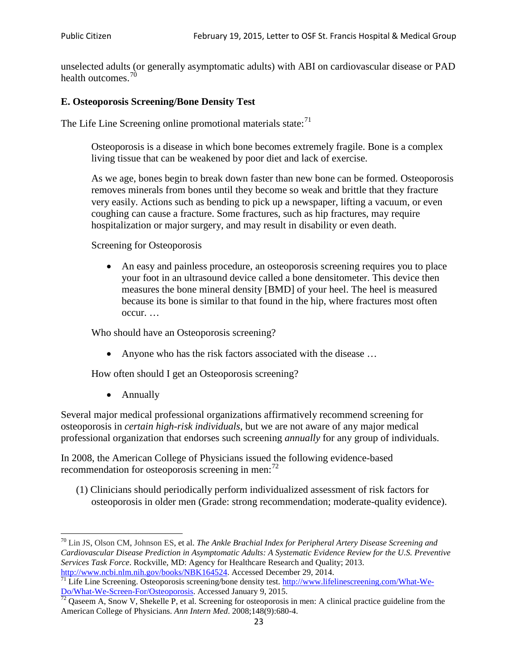unselected adults (or generally asymptomatic adults) with ABI on cardiovascular disease or PAD health outcomes.<sup>[70](#page-22-0)</sup>

### **E. Osteoporosis Screening/Bone Density Test**

The Life Line Screening online promotional materials state: $71$ 

Osteoporosis is a disease in which bone becomes extremely fragile. Bone is a complex living tissue that can be weakened by poor diet and lack of exercise.

As we age, bones begin to break down faster than new bone can be formed. Osteoporosis removes minerals from bones until they become so weak and brittle that they fracture very easily. Actions such as bending to pick up a newspaper, lifting a vacuum, or even coughing can cause a fracture. Some fractures, such as hip fractures, may require hospitalization or major surgery, and may result in disability or even death.

Screening for Osteoporosis

• An easy and painless procedure, an osteoporosis screening requires you to place your foot in an ultrasound device called a bone densitometer. This device then measures the bone mineral density [BMD] of your heel. The heel is measured because its bone is similar to that found in the hip, where fractures most often occur. …

Who should have an Osteoporosis screening?

• Anyone who has the risk factors associated with the disease ...

How often should I get an Osteoporosis screening?

• Annually

Several major medical professional organizations affirmatively recommend screening for osteoporosis in *certain high-risk individuals*, but we are not aware of any major medical professional organization that endorses such screening *annually* for any group of individuals.

In 2008, the American College of Physicians issued the following evidence-based recommendation for osteoporosis screening in men: $^{72}$  $^{72}$  $^{72}$ 

(1) Clinicians should periodically perform individualized assessment of risk factors for osteoporosis in older men (Grade: strong recommendation; moderate-quality evidence).

<span id="page-22-0"></span><sup>70</sup> [Lin JS,](http://www.ncbi.nlm.nih.gov/pubmed?term=Lin%20JS%5BAuthor%5D&cauthor=true&cauthor_uid=24156115) [Olson CM,](http://www.ncbi.nlm.nih.gov/pubmed?term=Olson%20CM%5BAuthor%5D&cauthor=true&cauthor_uid=24156115) [Johnson ES,](http://www.ncbi.nlm.nih.gov/pubmed?term=Johnson%20ES%5BAuthor%5D&cauthor=true&cauthor_uid=24156115) et al. *The Ankle Brachial Index for Peripheral Artery Disease Screening and Cardiovascular Disease Prediction in Asymptomatic Adults: A Systematic Evidence Review for the U.S. Preventive Services Task Force*. Rockville, MD: Agency for Healthcare Research and Quality; 2013.<br>http://www.ncbi.nlm.nih.gov/books/NBK164524. Accessed December 29, 2014.

<span id="page-22-1"></span> $\frac{1}{71}$  Life Line Screening. Osteoporosis screening/bone density test. [http://www.lifelinescreening.com/What-We-](http://www.lifelinescreening.com/What-We-Do/What-We-Screen-For/Osteoporosis)[Do/What-We-Screen-For/Osteoporosis.](http://www.lifelinescreening.com/What-We-Do/What-We-Screen-For/Osteoporosis) Accessed January 9, 2015. <sup>72</sup> Qaseem A, Snow V, Shekelle P, et al. Screening for osteoporosis in men: A clinical practice guideline from the

<span id="page-22-2"></span>American College of Physicians. *Ann Intern Med*. 2008;148(9):680-4.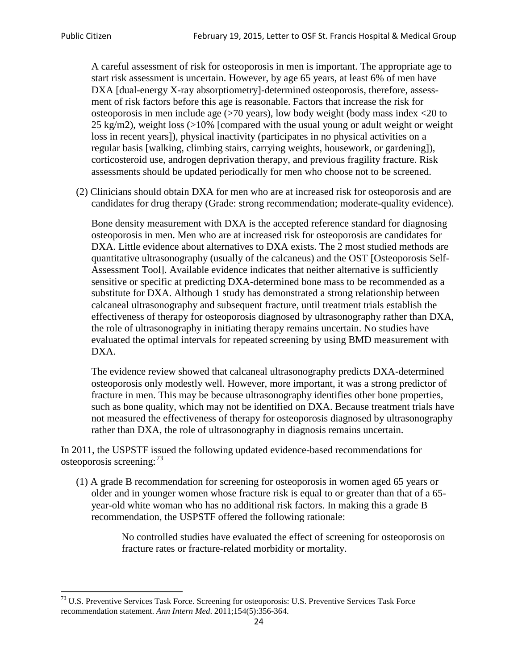A careful assessment of risk for osteoporosis in men is important. The appropriate age to start risk assessment is uncertain. However, by age 65 years, at least 6% of men have DXA [dual-energy X-ray absorptiometry]-determined osteoporosis, therefore, assessment of risk factors before this age is reasonable. Factors that increase the risk for osteoporosis in men include age (>70 years), low body weight (body mass index <20 to 25 kg/m2), weight loss  $\langle$  >10% [compared with the usual young or adult weight or weight loss in recent years]), physical inactivity (participates in no physical activities on a regular basis [walking, climbing stairs, carrying weights, housework, or gardening]), corticosteroid use, androgen deprivation therapy, and previous fragility fracture. Risk assessments should be updated periodically for men who choose not to be screened.

(2) Clinicians should obtain DXA for men who are at increased risk for osteoporosis and are candidates for drug therapy (Grade: strong recommendation; moderate-quality evidence).

Bone density measurement with DXA is the accepted reference standard for diagnosing osteoporosis in men. Men who are at increased risk for osteoporosis are candidates for DXA. Little evidence about alternatives to DXA exists. The 2 most studied methods are quantitative ultrasonography (usually of the calcaneus) and the OST [Osteoporosis Self-Assessment Tool]. Available evidence indicates that neither alternative is sufficiently sensitive or specific at predicting DXA-determined bone mass to be recommended as a substitute for DXA. Although 1 study has demonstrated a strong relationship between calcaneal ultrasonography and subsequent fracture, until treatment trials establish the effectiveness of therapy for osteoporosis diagnosed by ultrasonography rather than DXA, the role of ultrasonography in initiating therapy remains uncertain. No studies have evaluated the optimal intervals for repeated screening by using BMD measurement with DXA.

The evidence review showed that calcaneal ultrasonography predicts DXA-determined osteoporosis only modestly well. However, more important, it was a strong predictor of fracture in men. This may be because ultrasonography identifies other bone properties, such as bone quality, which may not be identified on DXA. Because treatment trials have not measured the effectiveness of therapy for osteoporosis diagnosed by ultrasonography rather than DXA, the role of ultrasonography in diagnosis remains uncertain.

In 2011, the USPSTF issued the following updated evidence-based recommendations for osteoporosis screening:<sup>[73](#page-23-0)</sup>

(1) A grade B recommendation for screening for osteoporosis in women aged 65 years or older and in younger women whose fracture risk is equal to or greater than that of a 65 year-old white woman who has no additional risk factors. In making this a grade B recommendation, the USPSTF offered the following rationale:

> No controlled studies have evaluated the effect of screening for osteoporosis on fracture rates or fracture-related morbidity or mortality.

<span id="page-23-0"></span><sup>&</sup>lt;sup>73</sup> U.S. Preventive Services Task Force. Screening for osteoporosis: U.S. Preventive Services Task Force recommendation statement. *Ann Intern Med*. 2011;154(5):356-364.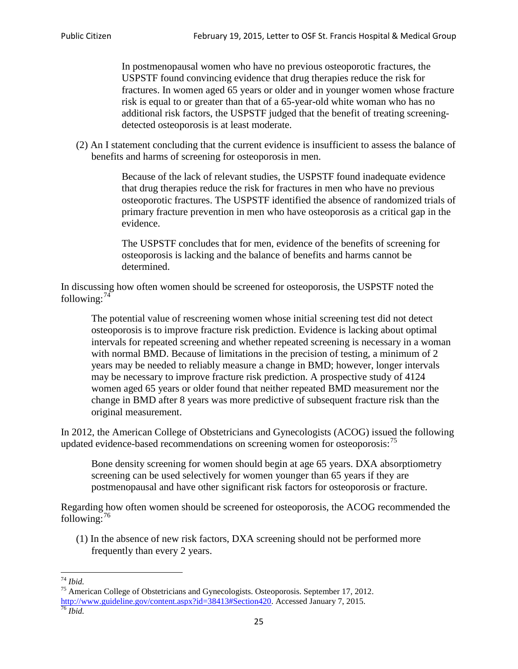In postmenopausal women who have no previous osteoporotic fractures, the USPSTF found convincing evidence that drug therapies reduce the risk for fractures. In women aged 65 years or older and in younger women whose fracture risk is equal to or greater than that of a 65-year-old white woman who has no additional risk factors, the USPSTF judged that the benefit of treating screeningdetected osteoporosis is at least moderate.

(2) An I statement concluding that the current evidence is insufficient to assess the balance of benefits and harms of screening for osteoporosis in men.

> Because of the lack of relevant studies, the USPSTF found inadequate evidence that drug therapies reduce the risk for fractures in men who have no previous osteoporotic fractures. The USPSTF identified the absence of randomized trials of primary fracture prevention in men who have osteoporosis as a critical gap in the evidence.

The USPSTF concludes that for men, evidence of the benefits of screening for osteoporosis is lacking and the balance of benefits and harms cannot be determined.

In discussing how often women should be screened for osteoporosis, the USPSTF noted the following: $74$ 

The potential value of rescreening women whose initial screening test did not detect osteoporosis is to improve fracture risk prediction. Evidence is lacking about optimal intervals for repeated screening and whether repeated screening is necessary in a woman with normal BMD. Because of limitations in the precision of testing, a minimum of 2 years may be needed to reliably measure a change in BMD; however, longer intervals may be necessary to improve fracture risk prediction. A prospective study of 4124 women aged 65 years or older found that neither repeated BMD measurement nor the change in BMD after 8 years was more predictive of subsequent fracture risk than the original measurement.

In 2012, the American College of Obstetricians and Gynecologists (ACOG) issued the following updated evidence-based recommendations on screening women for osteoporosis:<sup>[75](#page-24-1)</sup>

Bone density screening for women should begin at age 65 years. DXA absorptiometry screening can be used selectively for women younger than 65 years if they are postmenopausal and have other significant risk factors for osteoporosis or fracture.

Regarding how often women should be screened for osteoporosis, the ACOG recommended the following: $^{76}$  $^{76}$  $^{76}$ 

(1) In the absence of new risk factors, DXA screening should not be performed more frequently than every 2 years.

<span id="page-24-2"></span><span id="page-24-1"></span><span id="page-24-0"></span><sup>74</sup> *Ibid.* <sup>75</sup> American College of Obstetricians and Gynecologists. Osteoporosis. September 17, 2012. [http://www.guideline.gov/content.aspx?id=38413#Section420.](http://www.guideline.gov/content.aspx?id=38413#Section420) Accessed January 7, 2015.<br><sup>76</sup> *Ibid.*